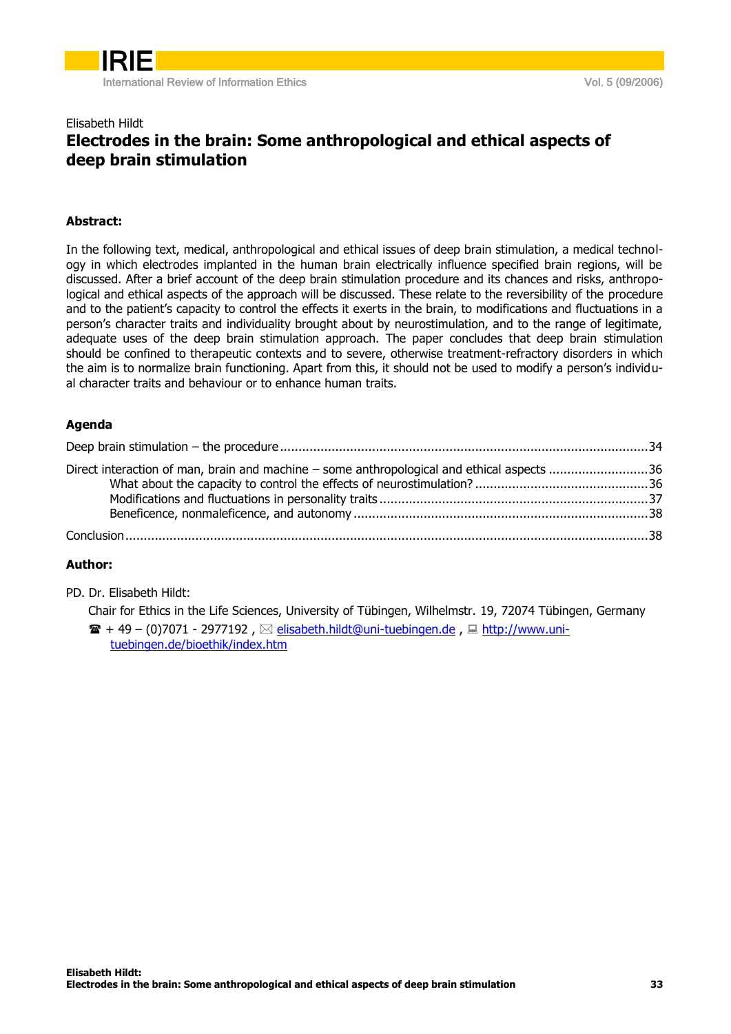

#### Elisabeth Hildt

## Electrodes in the brain: Some anthropological and ethical aspects of deep brain stimulation

### Abstract:

In the following text, medical, anthropological and ethical issues of deep brain stimulation, a medical technology in which electrodes implanted in the human brain electrically influence specified brain regions, will be discussed. After a brief account of the deep brain stimulation procedure and its chances and risks, anthropological and ethical aspects of the approach will be discussed. These relate to the reversibility of the procedure and to the patient's capacity to control the effects it exerts in the brain, to modifications and fluctuations in a person's character traits and individuality brought about by neurostimulation, and to the range of legitimate, adequate uses of the deep brain stimulation approach. The paper concludes that deep brain stimulation should be confined to therapeutic contexts and to severe, otherwise treatment-refractory disorders in which the aim is to normalize brain functioning. Apart from this, it should not be used to modify a person's individual character traits and behaviour or to enhance human traits.

#### Agenda

| Direct interaction of man, brain and machine – some anthropological and ethical aspects 36 |  |
|--------------------------------------------------------------------------------------------|--|
|                                                                                            |  |
|                                                                                            |  |
|                                                                                            |  |
|                                                                                            |  |
|                                                                                            |  |

#### Author:

PD. Dr. Elisabeth Hildt:

Chair for Ethics in the Life Sciences, University of Tübingen, Wilhelmstr. 19, 72074 Tübingen, Germany  $\mathbf{B}$  + 49 – (0)7071 - 2977192,  $\boxtimes$  [elisabeth.hildt@uni-tuebingen.de](mailto:elisabeth.hildt@uni-tuebingen.de),  $\boxplus$  [http://www.uni](http://www.uni-tuebingen.de/bioethik/index.htm)[tuebingen.de/bioethik/index.htm](http://www.uni-tuebingen.de/bioethik/index.htm)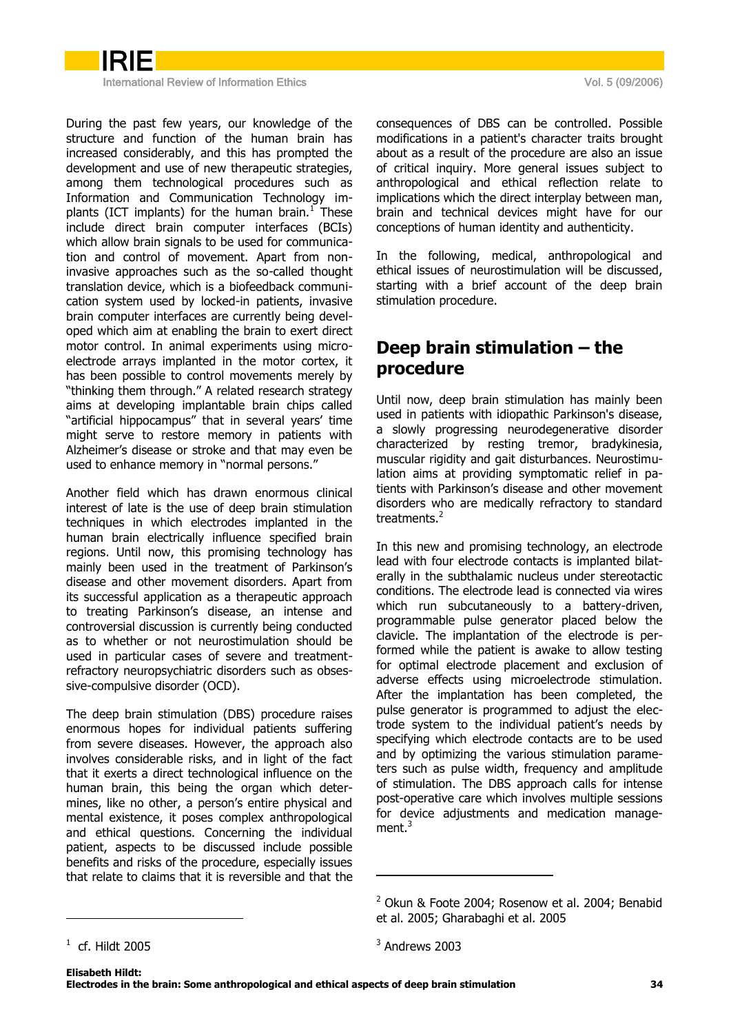

International Review of Information Ethics **Vol. 5 (09/2006)** Note that International Review of Information Ethics

During the past few years, our knowledge of the structure and function of the human brain has increased considerably, and this has prompted the development and use of new therapeutic strategies, among them technological procedures such as Information and Communication Technology implants (ICT implants) for the human brain. $<sup>1</sup>$  These</sup> include direct brain computer interfaces (BCIs) which allow brain signals to be used for communication and control of movement. Apart from noninvasive approaches such as the so-called thought translation device, which is a biofeedback communication system used by locked-in patients, invasive brain computer interfaces are currently being developed which aim at enabling the brain to exert direct motor control. In animal experiments using microelectrode arrays implanted in the motor cortex, it has been possible to control movements merely by "thinking them through." A related research strategy aims at developing implantable brain chips called "artificial hippocampus" that in several years' time might serve to restore memory in patients with Alzheimer's disease or stroke and that may even be used to enhance memory in "normal persons."

Another field which has drawn enormous clinical interest of late is the use of deep brain stimulation techniques in which electrodes implanted in the human brain electrically influence specified brain regions. Until now, this promising technology has mainly been used in the treatment of Parkinson's disease and other movement disorders. Apart from its successful application as a therapeutic approach to treating Parkinson's disease, an intense and controversial discussion is currently being conducted as to whether or not neurostimulation should be used in particular cases of severe and treatmentrefractory neuropsychiatric disorders such as obsessive-compulsive disorder (OCD).

The deep brain stimulation (DBS) procedure raises enormous hopes for individual patients suffering from severe diseases. However, the approach also involves considerable risks, and in light of the fact that it exerts a direct technological influence on the human brain, this being the organ which determines, like no other, a person's entire physical and mental existence, it poses complex anthropological and ethical questions. Concerning the individual patient, aspects to be discussed include possible benefits and risks of the procedure, especially issues that relate to claims that it is reversible and that the consequences of DBS can be controlled. Possible modifications in a patient's character traits brought about as a result of the procedure are also an issue of critical inquiry. More general issues subject to anthropological and ethical reflection relate to implications which the direct interplay between man, brain and technical devices might have for our conceptions of human identity and authenticity.

In the following, medical, anthropological and ethical issues of neurostimulation will be discussed, starting with a brief account of the deep brain stimulation procedure.

# <span id="page-1-0"></span>Deep brain stimulation – the procedure

Until now, deep brain stimulation has mainly been used in patients with idiopathic Parkinson's disease, a slowly progressing neurodegenerative disorder characterized by resting tremor, bradykinesia, muscular rigidity and gait disturbances. Neurostimulation aims at providing symptomatic relief in patients with Parkinson's disease and other movement disorders who are medically refractory to standard treatments.<sup>2</sup>

In this new and promising technology, an electrode lead with four electrode contacts is implanted bilaterally in the subthalamic nucleus under stereotactic conditions. The electrode lead is connected via wires which run subcutaneously to a battery-driven, programmable pulse generator placed below the clavicle. The implantation of the electrode is performed while the patient is awake to allow testing for optimal electrode placement and exclusion of adverse effects using microelectrode stimulation. After the implantation has been completed, the pulse generator is programmed to adjust the electrode system to the individual patient's needs by specifying which electrode contacts are to be used and by optimizing the various stimulation parameters such as pulse width, frequency and amplitude of stimulation. The DBS approach calls for intense post-operative care which involves multiple sessions for device adjustments and medication management.<sup>3</sup>

-

 $2$  Okun & Foote 2004; Rosenow et al. 2004; Benabid et al. 2005; Gharabaghi et al. 2005

 $1$  cf. Hildt 2005

 $3$  Andrews 2003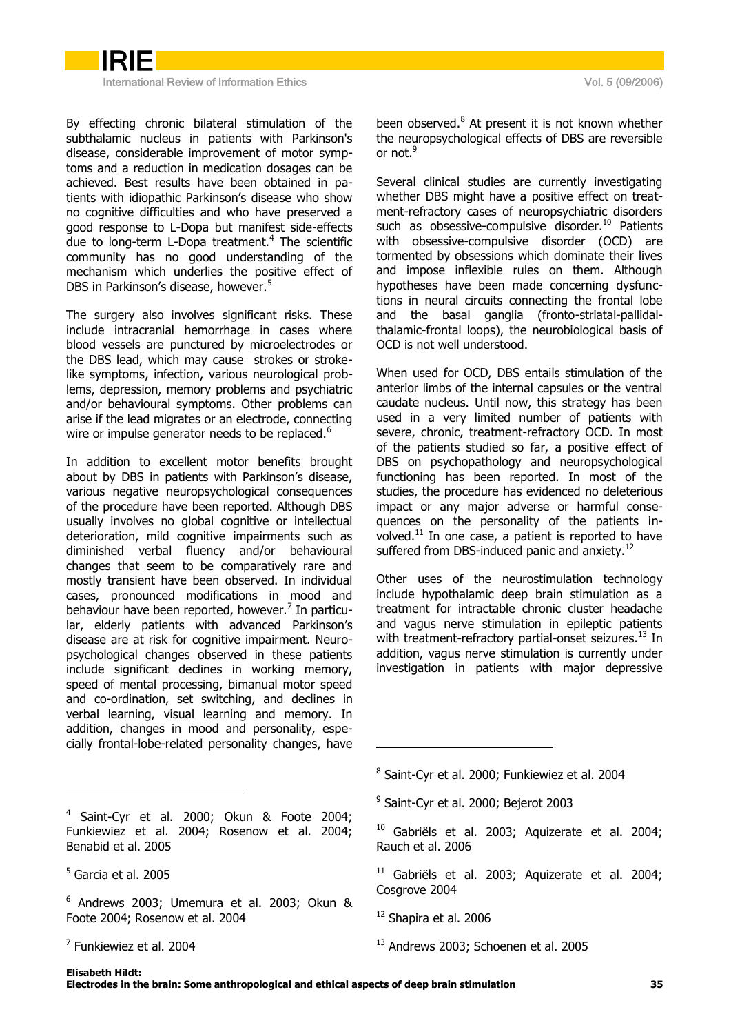

International Review of Information Ethics **Vol. 5 (09/2006)** Note that International Review of Information Ethics

By effecting chronic bilateral stimulation of the subthalamic nucleus in patients with Parkinson's disease, considerable improvement of motor symptoms and a reduction in medication dosages can be achieved. Best results have been obtained in patients with idiopathic Parkinson's disease who show no cognitive difficulties and who have preserved a good response to L-Dopa but manifest side-effects due to long-term L-Dopa treatment.<sup>4</sup> The scientific community has no good understanding of the mechanism which underlies the positive effect of DBS in Parkinson's disease, however.<sup>5</sup>

The surgery also involves significant risks. These include intracranial hemorrhage in cases where blood vessels are punctured by microelectrodes or the DBS lead, which may cause strokes or strokelike symptoms, infection, various neurological problems, depression, memory problems and psychiatric and/or behavioural symptoms. Other problems can arise if the lead migrates or an electrode, connecting wire or impulse generator needs to be replaced.<sup>6</sup>

In addition to excellent motor benefits brought about by DBS in patients with Parkinson's disease, various negative neuropsychological consequences of the procedure have been reported. Although DBS usually involves no global cognitive or intellectual deterioration, mild cognitive impairments such as diminished verbal fluency and/or behavioural changes that seem to be comparatively rare and mostly transient have been observed. In individual cases, pronounced modifications in mood and behaviour have been reported, however.<sup>7</sup> In particular, elderly patients with advanced Parkinson's disease are at risk for cognitive impairment. Neuropsychological changes observed in these patients include significant declines in working memory, speed of mental processing, bimanual motor speed and co-ordination, set switching, and declines in verbal learning, visual learning and memory. In addition, changes in mood and personality, especially frontal-lobe-related personality changes, have

<sup>4</sup> Saint-Cyr et al. 2000; Okun & Foote 2004; Funkiewiez et al. 2004; Rosenow et al. 2004; Benabid et al. 2005

-

been observed.<sup>8</sup> At present it is not known whether the neuropsychological effects of DBS are reversible or not.<sup>9</sup>

Several clinical studies are currently investigating whether DBS might have a positive effect on treatment-refractory cases of neuropsychiatric disorders such as obsessive-compulsive disorder.<sup>10</sup> Patients with obsessive-compulsive disorder (OCD) are tormented by obsessions which dominate their lives and impose inflexible rules on them. Although hypotheses have been made concerning dysfunctions in neural circuits connecting the frontal lobe and the basal ganglia (fronto-striatal-pallidalthalamic-frontal loops), the neurobiological basis of OCD is not well understood.

When used for OCD, DBS entails stimulation of the anterior limbs of the internal capsules or the ventral caudate nucleus. Until now, this strategy has been used in a very limited number of patients with severe, chronic, treatment-refractory OCD. In most of the patients studied so far, a positive effect of DBS on psychopathology and neuropsychological functioning has been reported. In most of the studies, the procedure has evidenced no deleterious impact or any major adverse or harmful consequences on the personality of the patients involved. $^{11}$  In one case, a patient is reported to have suffered from DBS-induced panic and anxiety.<sup>12</sup>

Other uses of the neurostimulation technology include hypothalamic deep brain stimulation as a treatment for intractable chronic cluster headache and vagus nerve stimulation in epileptic patients with treatment-refractory partial-onset seizures.<sup>13</sup> In addition, vagus nerve stimulation is currently under investigation in patients with major depressive

- <sup>9</sup> Saint-Cyr et al. 2000; Bejerot 2003
- <sup>10</sup> Gabriëls et al. 2003; Aquizerate et al. 2004; Rauch et al. 2006
- $11$  Gabriëls et al. 2003; Aquizerate et al. 2004; Cosgrove 2004
- <sup>12</sup> Shapira et al. 2006

-

<sup>13</sup> Andrews 2003; Schoenen et al. 2005

<sup>5</sup> Garcia et al. 2005

 $6$  Andrews 2003; Umemura et al. 2003; Okun & Foote 2004; Rosenow et al. 2004

<sup>7</sup> Funkiewiez et al. 2004

<sup>8</sup> Saint-Cyr et al. 2000; Funkiewiez et al. 2004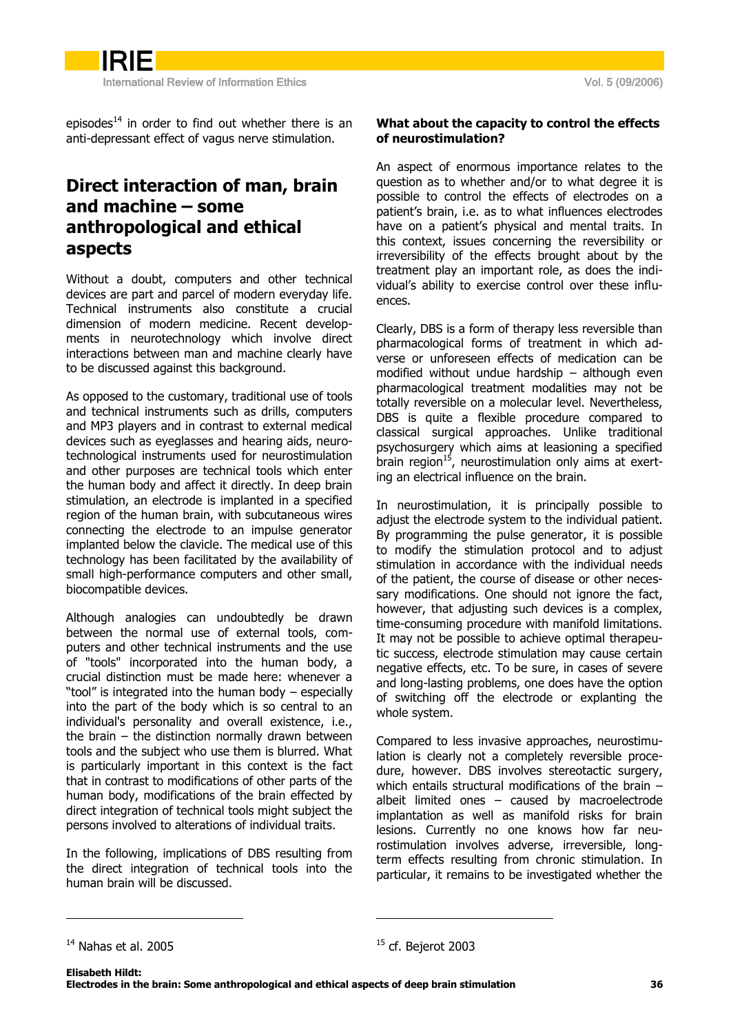IRIE International Review of Information Ethics **Vol. 5 (09/2006)** Vol. 5 (09/2006)

episodes $14$  in order to find out whether there is an anti-depressant effect of vagus nerve stimulation.

# <span id="page-3-0"></span>Direct interaction of man, brain and machine – some anthropological and ethical aspects

Without a doubt, computers and other technical devices are part and parcel of modern everyday life. Technical instruments also constitute a crucial dimension of modern medicine. Recent developments in neurotechnology which involve direct interactions between man and machine clearly have to be discussed against this background.

As opposed to the customary, traditional use of tools and technical instruments such as drills, computers and MP3 players and in contrast to external medical devices such as eyeglasses and hearing aids, neurotechnological instruments used for neurostimulation and other purposes are technical tools which enter the human body and affect it directly. In deep brain stimulation, an electrode is implanted in a specified region of the human brain, with subcutaneous wires connecting the electrode to an impulse generator implanted below the clavicle. The medical use of this technology has been facilitated by the availability of small high-performance computers and other small, biocompatible devices.

Although analogies can undoubtedly be drawn between the normal use of external tools, computers and other technical instruments and the use of "tools" incorporated into the human body, a crucial distinction must be made here: whenever a "tool" is integrated into the human body  $-$  especially into the part of the body which is so central to an individual's personality and overall existence, i.e., the brain – the distinction normally drawn between tools and the subject who use them is blurred. What is particularly important in this context is the fact that in contrast to modifications of other parts of the human body, modifications of the brain effected by direct integration of technical tools might subject the persons involved to alterations of individual traits.

In the following, implications of DBS resulting from the direct integration of technical tools into the human brain will be discussed.

### <span id="page-3-1"></span>What about the capacity to control the effects of neurostimulation?

An aspect of enormous importance relates to the question as to whether and/or to what degree it is possible to control the effects of electrodes on a patient's brain, i.e. as to what influences electrodes have on a patient's physical and mental traits. In this context, issues concerning the reversibility or irreversibility of the effects brought about by the treatment play an important role, as does the individual"s ability to exercise control over these influences.

Clearly, DBS is a form of therapy less reversible than pharmacological forms of treatment in which adverse or unforeseen effects of medication can be modified without undue hardship – although even pharmacological treatment modalities may not be totally reversible on a molecular level. Nevertheless, DBS is quite a flexible procedure compared to classical surgical approaches. Unlike traditional psychosurgery which aims at leasioning a specified brain region<sup>15</sup>, neurostimulation only aims at exerting an electrical influence on the brain.

In neurostimulation, it is principally possible to adjust the electrode system to the individual patient. By programming the pulse generator, it is possible to modify the stimulation protocol and to adjust stimulation in accordance with the individual needs of the patient, the course of disease or other necessary modifications. One should not ignore the fact, however, that adjusting such devices is a complex, time-consuming procedure with manifold limitations. It may not be possible to achieve optimal therapeutic success, electrode stimulation may cause certain negative effects, etc. To be sure, in cases of severe and long-lasting problems, one does have the option of switching off the electrode or explanting the whole system.

Compared to less invasive approaches, neurostimulation is clearly not a completely reversible procedure, however. DBS involves stereotactic surgery, which entails structural modifications of the brain – albeit limited ones – caused by macroelectrode implantation as well as manifold risks for brain lesions. Currently no one knows how far neurostimulation involves adverse, irreversible, longterm effects resulting from chronic stimulation. In particular, it remains to be investigated whether the

-

<sup>&</sup>lt;sup>14</sup> Nahas et al. 2005

 $15$  cf. Bejerot 2003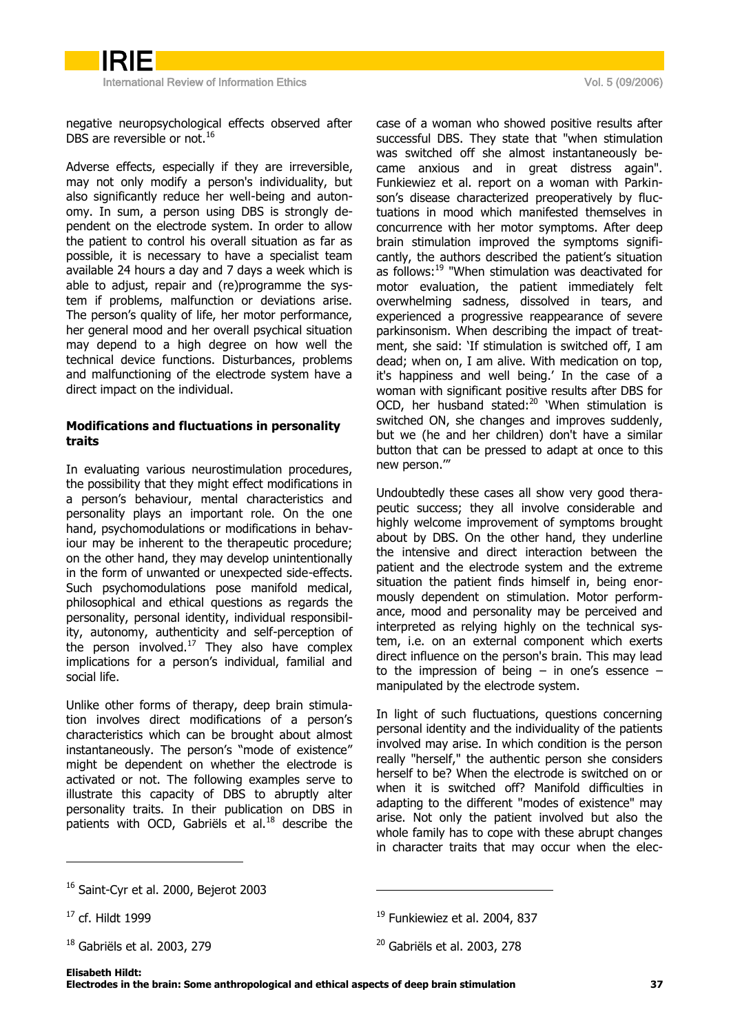International Review of Information Ethics **Vol. 5 (09/2006)** Vol. 5 (09/2006)

negative neuropsychological effects observed after DBS are reversible or not.<sup>16</sup>

Adverse effects, especially if they are irreversible, may not only modify a person's individuality, but also significantly reduce her well-being and autonomy. In sum, a person using DBS is strongly dependent on the electrode system. In order to allow the patient to control his overall situation as far as possible, it is necessary to have a specialist team available 24 hours a day and 7 days a week which is able to adjust, repair and (re)programme the system if problems, malfunction or deviations arise. The person's quality of life, her motor performance, her general mood and her overall psychical situation may depend to a high degree on how well the technical device functions. Disturbances, problems and malfunctioning of the electrode system have a direct impact on the individual.

### <span id="page-4-0"></span>Modifications and fluctuations in personality traits

In evaluating various neurostimulation procedures, the possibility that they might effect modifications in a person's behaviour, mental characteristics and personality plays an important role. On the one hand, psychomodulations or modifications in behaviour may be inherent to the therapeutic procedure; on the other hand, they may develop unintentionally in the form of unwanted or unexpected side-effects. Such psychomodulations pose manifold medical, philosophical and ethical questions as regards the personality, personal identity, individual responsibility, autonomy, authenticity and self-perception of the person involved. $17$  They also have complex implications for a person's individual, familial and social life.

Unlike other forms of therapy, deep brain stimulation involves direct modifications of a person's characteristics which can be brought about almost instantaneously. The person's "mode of existence" might be dependent on whether the electrode is activated or not. The following examples serve to illustrate this capacity of DBS to abruptly alter personality traits. In their publication on DBS in patients with OCD, Gabriëls et al.<sup>18</sup> describe the

case of a woman who showed positive results after successful DBS. They state that "when stimulation was switched off she almost instantaneously became anxious and in great distress again". Funkiewiez et al. report on a woman with Parkinson's disease characterized preoperatively by fluctuations in mood which manifested themselves in concurrence with her motor symptoms. After deep brain stimulation improved the symptoms significantly, the authors described the patient's situation as follows:<sup>19</sup> "When stimulation was deactivated for motor evaluation, the patient immediately felt overwhelming sadness, dissolved in tears, and experienced a progressive reappearance of severe parkinsonism. When describing the impact of treatment, she said: 'If stimulation is switched off, I am dead; when on, I am alive. With medication on top, it's happiness and well being.' In the case of a woman with significant positive results after DBS for OCD, her husband stated: $^{20}$  'When stimulation is switched ON, she changes and improves suddenly, but we (he and her children) don't have a similar button that can be pressed to adapt at once to this new person.""

Undoubtedly these cases all show very good therapeutic success; they all involve considerable and highly welcome improvement of symptoms brought about by DBS. On the other hand, they underline the intensive and direct interaction between the patient and the electrode system and the extreme situation the patient finds himself in, being enormously dependent on stimulation. Motor performance, mood and personality may be perceived and interpreted as relying highly on the technical system, i.e. on an external component which exerts direct influence on the person's brain. This may lead to the impression of being  $-$  in one's essence  $$ manipulated by the electrode system.

In light of such fluctuations, questions concerning personal identity and the individuality of the patients involved may arise. In which condition is the person really "herself," the authentic person she considers herself to be? When the electrode is switched on or when it is switched off? Manifold difficulties in adapting to the different "modes of existence" may arise. Not only the patient involved but also the whole family has to cope with these abrupt changes in character traits that may occur when the elec-

-

<sup>&</sup>lt;sup>16</sup> Saint-Cyr et al. 2000, Bejerot 2003

 $17$  cf. Hildt 1999

<sup>&</sup>lt;sup>18</sup> Gabriëls et al. 2003, 279

<sup>&</sup>lt;sup>19</sup> Funkiewiez et al. 2004, 837

<sup>20</sup> Gabriëls et al. 2003, 278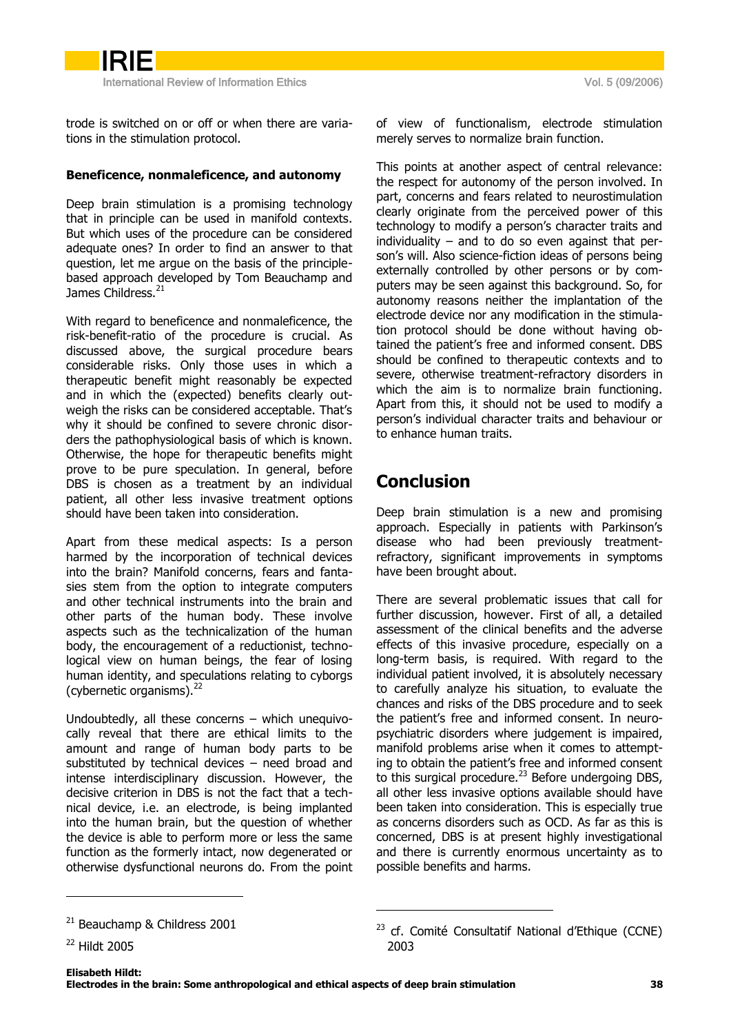International Review of Information Ethics **Vol. 5 (09/2006)** Vol. 5 (09/2006)

IRIE

trode is switched on or off or when there are variations in the stimulation protocol.

### <span id="page-5-0"></span>Beneficence, nonmaleficence, and autonomy

Deep brain stimulation is a promising technology that in principle can be used in manifold contexts. But which uses of the procedure can be considered adequate ones? In order to find an answer to that question, let me argue on the basis of the principlebased approach developed by Tom Beauchamp and James Childress.<sup>21</sup>

With regard to beneficence and nonmaleficence, the risk-benefit-ratio of the procedure is crucial. As discussed above, the surgical procedure bears considerable risks. Only those uses in which a therapeutic benefit might reasonably be expected and in which the (expected) benefits clearly outweigh the risks can be considered acceptable. That's why it should be confined to severe chronic disorders the pathophysiological basis of which is known. Otherwise, the hope for therapeutic benefits might prove to be pure speculation. In general, before DBS is chosen as a treatment by an individual patient, all other less invasive treatment options should have been taken into consideration.

Apart from these medical aspects: Is a person harmed by the incorporation of technical devices into the brain? Manifold concerns, fears and fantasies stem from the option to integrate computers and other technical instruments into the brain and other parts of the human body. These involve aspects such as the technicalization of the human body, the encouragement of a reductionist, technological view on human beings, the fear of losing human identity, and speculations relating to cyborgs (cybernetic organisms). $^{22}$ 

Undoubtedly, all these concerns – which unequivocally reveal that there are ethical limits to the amount and range of human body parts to be substituted by technical devices – need broad and intense interdisciplinary discussion. However, the decisive criterion in DBS is not the fact that a technical device, i.e. an electrode, is being implanted into the human brain, but the question of whether the device is able to perform more or less the same function as the formerly intact, now degenerated or otherwise dysfunctional neurons do. From the point

-

<sup>22</sup> Hildt 2005

of view of functionalism, electrode stimulation merely serves to normalize brain function.

This points at another aspect of central relevance: the respect for autonomy of the person involved. In part, concerns and fears related to neurostimulation clearly originate from the perceived power of this technology to modify a person's character traits and individuality – and to do so even against that person's will. Also science-fiction ideas of persons being externally controlled by other persons or by computers may be seen against this background. So, for autonomy reasons neither the implantation of the electrode device nor any modification in the stimulation protocol should be done without having obtained the patient's free and informed consent. DBS should be confined to therapeutic contexts and to severe, otherwise treatment-refractory disorders in which the aim is to normalize brain functioning. Apart from this, it should not be used to modify a person"s individual character traits and behaviour or to enhance human traits.

# <span id="page-5-1"></span>Conclusion

Deep brain stimulation is a new and promising approach. Especially in patients with Parkinson's disease who had been previously treatmentrefractory, significant improvements in symptoms have been brought about.

There are several problematic issues that call for further discussion, however. First of all, a detailed assessment of the clinical benefits and the adverse effects of this invasive procedure, especially on a long-term basis, is required. With regard to the individual patient involved, it is absolutely necessary to carefully analyze his situation, to evaluate the chances and risks of the DBS procedure and to seek the patient's free and informed consent. In neuropsychiatric disorders where judgement is impaired, manifold problems arise when it comes to attempting to obtain the patient's free and informed consent to this surgical procedure.<sup>23</sup> Before undergoing DBS, all other less invasive options available should have been taken into consideration. This is especially true as concerns disorders such as OCD. As far as this is concerned, DBS is at present highly investigational and there is currently enormous uncertainty as to possible benefits and harms.

<sup>21</sup> Beauchamp & Childress 2001

 $23$  cf. Comité Consultatif National d'Ethique (CCNE) 2003